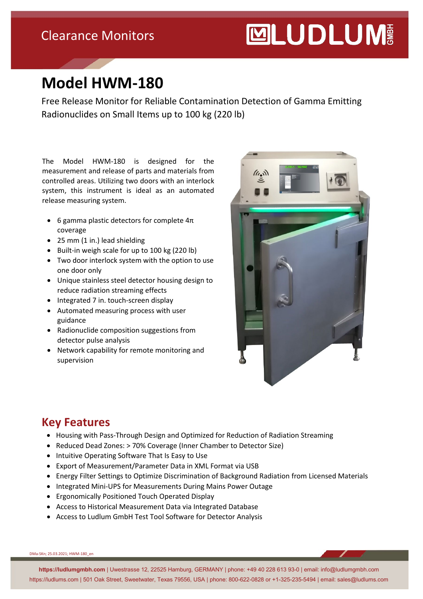## Clearance Monitors

# **MUDLUM**

# **Model HWM-180**

Free Release Monitor for Reliable Contamination Detection of Gamma Emitting Radionuclides on Small Items up to 100 kg (220 lb)

The Model HWM-180 is designed for the measurement and release of parts and materials from controlled areas. Utilizing two doors with an interlock system, this instrument is ideal as an automated release measuring system.

- 6 gamma plastic detectors for complete 4π coverage
- 25 mm (1 in.) lead shielding
- Built-in weigh scale for up to 100 kg (220 lb)
- Two door interlock system with the option to use one door only
- Unique stainless steel detector housing design to reduce radiation streaming effects
- Integrated 7 in. touch-screen display
- Automated measuring process with user guidance
- Radionuclide composition suggestions from detector pulse analysis
- Network capability for remote monitoring and supervision



#### **Key Features**

- Housing with Pass-Through Design and Optimized for Reduction of Radiation Streaming
- Reduced Dead Zones: > 70% Coverage (Inner Chamber to Detector Size)
- Intuitive Operating Software That Is Easy to Use
- Export of Measurement/Parameter Data in XML Format via USB
- Energy Filter Settings to Optimize Discrimination of Background Radiation from Licensed Materials
- Integrated Mini-UPS for Measurements During Mains Power Outage
- Ergonomically Positioned Touch Operated Display
- Access to Historical Measurement Data via Integrated Database
- Access to Ludlum GmbH Test Tool Software for Detector Analysis

DMa-SKn; 25.03.2021; HWM-180\_en

**https://ludlumgmbh.com** | Uwestrasse 12, 22525 Hamburg, GERMANY | phone: +49 40 228 613 93-0 | email: info@ludlumgmbh.com https://ludlums.com | 501 Oak Street, Sweetwater, Texas 79556, USA | phone: 800-622-0828 or +1-325-235-5494 | email: sales@ludlums.com